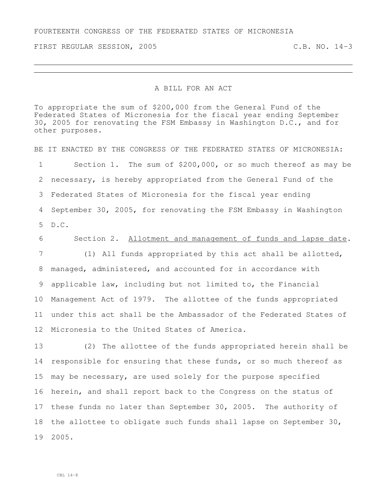FIRST REGULAR SESSION, 2005 C.B. NO. 14-3

## A BILL FOR AN ACT

To appropriate the sum of \$200,000 from the General Fund of the Federated States of Micronesia for the fiscal year ending September 30, 2005 for renovating the FSM Embassy in Washington  $D.C.,$  and for other purposes.

BE IT ENACTED BY THE CONGRESS OF THE FEDERATED STATES OF MICRONESIA: Section 1. The sum of \$200,000, or so much thereof as may be necessary, is hereby appropriated from the General Fund of the Federated States of Micronesia for the fiscal year ending September 30, 2005, for renovating the FSM Embassy in Washington D.C.

Section 2. Allotment and management of funds and lapse date.

 (1) All funds appropriated by this act shall be allotted, managed, administered, and accounted for in accordance with applicable law, including but not limited to, the Financial Management Act of 1979. The allottee of the funds appropriated under this act shall be the Ambassador of the Federated States of Micronesia to the United States of America.

 (2) The allottee of the funds appropriated herein shall be responsible for ensuring that these funds, or so much thereof as may be necessary, are used solely for the purpose specified herein, and shall report back to the Congress on the status of these funds no later than September 30, 2005. The authority of the allottee to obligate such funds shall lapse on September 30, 2005.